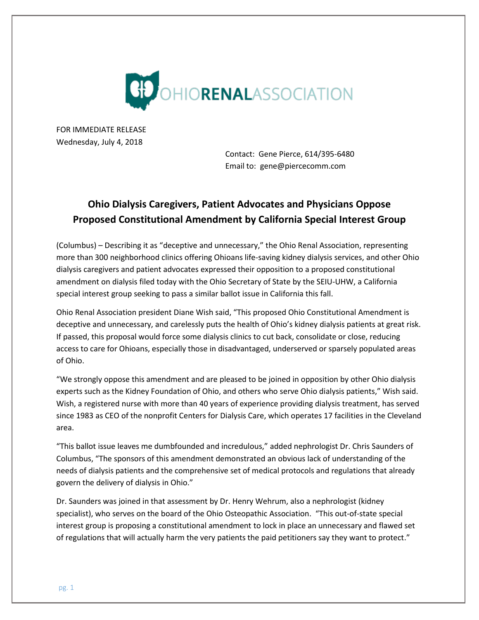

FOR IMMEDIATE RELEASE Wednesday, July 4, 2018

> Contact: Gene Pierce, 614/395-6480 Email to: gene@piercecomm.com

## **Ohio Dialysis Caregivers, Patient Advocates and Physicians Oppose Proposed Constitutional Amendment by California Special Interest Group**

(Columbus) – Describing it as "deceptive and unnecessary," the Ohio Renal Association, representing more than 300 neighborhood clinics offering Ohioans life-saving kidney dialysis services, and other Ohio dialysis caregivers and patient advocates expressed their opposition to a proposed constitutional amendment on dialysis filed today with the Ohio Secretary of State by the SEIU-UHW, a California special interest group seeking to pass a similar ballot issue in California this fall.

Ohio Renal Association president Diane Wish said, "This proposed Ohio Constitutional Amendment is deceptive and unnecessary, and carelessly puts the health of Ohio's kidney dialysis patients at great risk. If passed, this proposal would force some dialysis clinics to cut back, consolidate or close, reducing access to care for Ohioans, especially those in disadvantaged, underserved or sparsely populated areas of Ohio.

"We strongly oppose this amendment and are pleased to be joined in opposition by other Ohio dialysis experts such as the Kidney Foundation of Ohio, and others who serve Ohio dialysis patients," Wish said. Wish, a registered nurse with more than 40 years of experience providing dialysis treatment, has served since 1983 as CEO of the nonprofit Centers for Dialysis Care, which operates 17 facilities in the Cleveland area.

"This ballot issue leaves me dumbfounded and incredulous," added nephrologist Dr. Chris Saunders of Columbus, "The sponsors of this amendment demonstrated an obvious lack of understanding of the needs of dialysis patients and the comprehensive set of medical protocols and regulations that already govern the delivery of dialysis in Ohio."

Dr. Saunders was joined in that assessment by Dr. Henry Wehrum, also a nephrologist (kidney specialist), who serves on the board of the Ohio Osteopathic Association. "This out-of-state special interest group is proposing a constitutional amendment to lock in place an unnecessary and flawed set of regulations that will actually harm the very patients the paid petitioners say they want to protect."